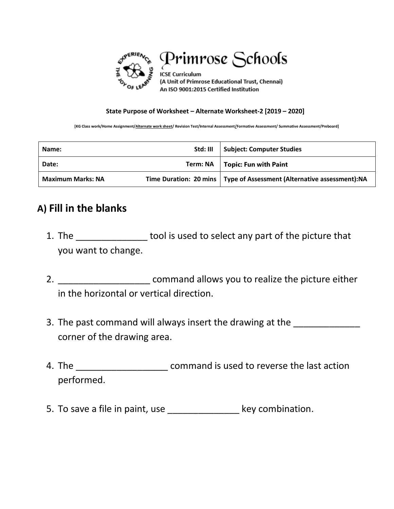

Primrose Schools

**ICSE Curriculum** (A Unit of Primrose Educational Trust, Chennai) An ISO 9001:2015 Certified Institution

## **State Purpose of Worksheet – Alternate Worksheet-2 [2019 – 2020]**

**[KG Class work/Home Assignment/Alternate work sheet/ Revision Test/Internal Assessment/Formative Assessment/ Summative Assessment/Preboard]**

| Name:                    | Std: III | Subject: Computer Studies                                                |
|--------------------------|----------|--------------------------------------------------------------------------|
| Date:                    | Term: NA | Topic: Fun with Paint                                                    |
| <b>Maximum Marks: NA</b> |          | Time Duration: 20 mins   Type of Assessment (Alternative assessment): NA |

## **A) Fill in the blanks**

- 1. The \_\_\_\_\_\_\_\_\_\_\_\_\_\_\_\_\_ tool is used to select any part of the picture that you want to change.
- 2. \_\_\_\_\_\_\_\_\_\_\_\_\_\_\_\_\_\_\_\_\_\_\_\_\_ command allows you to realize the picture either in the horizontal or vertical direction.
- 3. The past command will always insert the drawing at the corner of the drawing area.
- 4. The \_\_\_\_\_\_\_\_\_\_\_\_\_\_\_\_\_\_\_\_\_\_\_\_\_ command is used to reverse the last action performed.
- 5. To save a file in paint, use example a key combination.